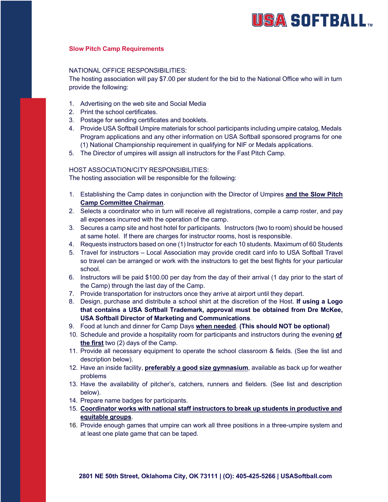# **USA SOFTBALL**

## **Slow Pitch Camp Requirements**

#### NATIONAL OFFICE RESPONSIBILITIES:

The hosting association will pay \$7.00 per student for the bid to the National Office who will in turn provide the following:

- 1. Advertising on the web site and Social Media
- 2. Print the school certificates.
- 3. Postage for sending certificates and booklets.
- 4. Provide USA Softball Umpire materials for school participants including umpire catalog, Medals Program applications and any other information on USA Softball sponsored programs for one (1) National Championship requirement in qualifying for NIF or Medals applications.
- 5. The Director of umpires will assign all instructors for the Fast Pitch Camp.

## HOST ASSOCIATION/CITY RESPONSIBILITIES:

The hosting association will be responsible for the following:

- 1. Establishing the Camp dates in conjunction with the Director of Umpires **and the Slow Pitch Camp Committee Chairman**.
- 2. Selects a coordinator who in turn will receive all registrations, compile a camp roster, and pay all expenses incurred with the operation of the camp.
- 3. Secures a camp site and host hotel for participants. Instructors (two to room) should be housed at same hotel. If there are charges for instructor rooms, host is responsible.
- 4. Requests instructors based on one (1) Instructor for each 10 students. Maximum of 60 Students
- 5. Travel for instructors Local Association may provide credit card info to USA Softball Travel so travel can be arranged or work with the instructors to get the best flights for your particular school.
- 6. Instructors will be paid \$100.00 per day from the day of their arrival (1 day prior to the start of the Camp) through the last day of the Camp.
- 7. Provide transportation for instructors once they arrive at airport until they depart.
- 8. Design, purchase and distribute a school shirt at the discretion of the Host. **If using a Logo that contains a USA Softball Trademark, approval must be obtained from Dre McKee, USA Softball Director of Marketing and Communications**.
- 9. Food at lunch and dinner for Camp Days **when needed**. **(This should NOT be optional)**
- 10. Schedule and provide a hospitality room for participants and instructors during the evening **of the first** two (2) days of the Camp.
- 11. Provide all necessary equipment to operate the school classroom & fields. (See the list and description below).
- 12. Have an inside facility, **preferably a good size gymnasium**, available as back up for weather problems
- 13. Have the availability of pitcher's, catchers, runners and fielders. (See list and description below).
- 14. Prepare name badges for participants.
- 15. **Coordinator works with national staff instructors to break up students in productive and equitable groups**.
- 16. Provide enough games that umpire can work all three positions in a three-umpire system and at least one plate game that can be taped.